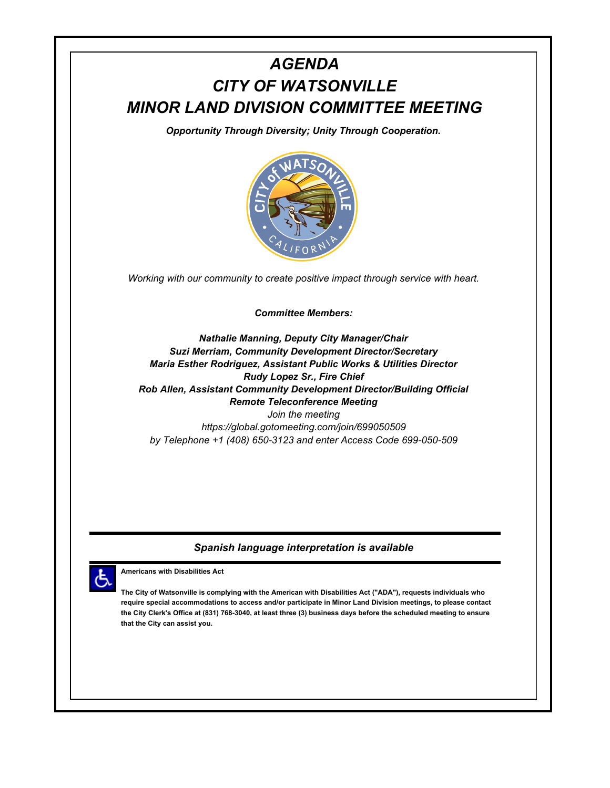# *AGENDA CITY OF WATSONVILLE MINOR LAND DIVISION COMMITTEE MEETING*

*Opportunity Through Diversity; Unity Through Cooperation.*



*Working with our community to create positive impact through service with heart.*

*Committee Members:*

*Nathalie Manning, Deputy City Manager/Chair Suzi Merriam, Community Development Director/Secretary Maria Esther Rodriguez, Assistant Public Works & Utilities Director Rudy Lopez Sr., Fire Chief Rob Allen, Assistant Community Development Director/Building Official Remote Teleconference Meeting Join the meeting* 

*https://global.gotomeeting.com/join/699050509 by Telephone +1 (408) 650-3123 and enter Access Code 699-050-509*

# *Spanish language interpretation is available*



**Americans with Disabilities Act**

**The City of Watsonville is complying with the American with Disabilities Act ("ADA"), requests individuals who require special accommodations to access and/or participate in Minor Land Division meetings, to please contact the City Clerk's Office at (831) 768-3040, at least three (3) business days before the scheduled meeting to ensure that the City can assist you.**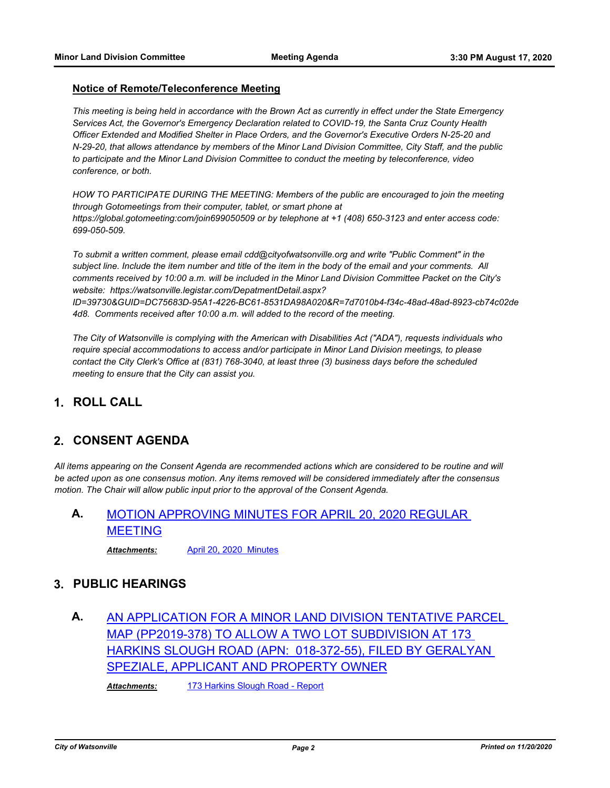#### **Notice of Remote/Teleconference Meeting**

*This meeting is being held in accordance with the Brown Act as currently in effect under the State Emergency Services Act, the Governor's Emergency Declaration related to COVID-19, the Santa Cruz County Health Officer Extended and Modified Shelter in Place Orders, and the Governor's Executive Orders N-25-20 and N-29-20, that allows attendance by members of the Minor Land Division Committee, City Staff, and the public to participate and the Minor Land Division Committee to conduct the meeting by teleconference, video conference, or both.*

*HOW TO PARTICIPATE DURING THE MEETING: Members of the public are encouraged to join the meeting through Gotomeetings from their computer, tablet, or smart phone at https://global.gotomeeting:com/join699050509 or by telephone at +1 (408) 650-3123 and enter access code: 699-050-509.*

*To submit a written comment, please email cdd@cityofwatsonville.org and write "Public Comment" in the subject line. Include the item number and title of the item in the body of the email and your comments. All comments received by 10:00 a.m. will be included in the Minor Land Division Committee Packet on the City's website: https://watsonville.legistar.com/DepatmentDetail.aspx?* 

*ID=39730&GUID=DC75683D-95A1-4226-BC61-8531DA98A020&R=7d7010b4-f34c-48ad-48ad-8923-cb74c02de 4d8. Comments received after 10:00 a.m. will added to the record of the meeting.*

*The City of Watsonville is complying with the American with Disabilities Act ("ADA"), requests individuals who require special accommodations to access and/or participate in Minor Land Division meetings, to please contact the City Clerk's Office at (831) 768-3040, at least three (3) business days before the scheduled meeting to ensure that the City can assist you.*

### **1. ROLL CALL**

### **2. CONSENT AGENDA**

*All items appearing on the Consent Agenda are recommended actions which are considered to be routine and will be acted upon as one consensus motion. Any items removed will be considered immediately after the consensus motion. The Chair will allow public input prior to the approval of the Consent Agenda.*

# **A.** [MOTION APPROVING MINUTES FOR APRIL 20, 2020 REGULAR](http://watsonville.legistar.com/gateway.aspx?m=l&id=/matter.aspx?key=3324)  MEETING

*Attachments:* [April 20, 2020 Minutes](http://watsonville.legistar.com/gateway.aspx?M=F&ID=e798db6c-16c1-41d4-a820-8f01ae126737.doc)

### **3. PUBLIC HEARINGS**

**A.** [AN APPLICATION FOR A MINOR LAND DIVISION TENTATIVE PARCEL](http://watsonville.legistar.com/gateway.aspx?m=l&id=/matter.aspx?key=3323)  MAP (PP2019-378) TO ALLOW A TWO LOT SUBDIVISION AT 173 HARKINS SLOUGH ROAD (APN: 018-372-55), FILED BY GERALYAN SPEZIALE, APPLICANT AND PROPERTY OWNER

*Attachments:* [173 Harkins Slough Road - Report](http://watsonville.legistar.com/gateway.aspx?M=F&ID=e8d4e337-ccd7-4908-b872-27e77182448b.pdf)